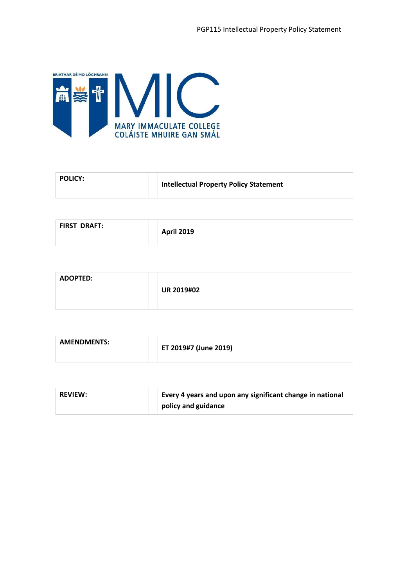

| <b>Intellectual Property Policy Statement</b> |  |
|-----------------------------------------------|--|
|-----------------------------------------------|--|

| <b>FIRST DRAFT:</b> | <b>April 2019</b> |
|---------------------|-------------------|
|---------------------|-------------------|

| <b>ADOPTED:</b> |                   |
|-----------------|-------------------|
|                 | <b>UR 2019#02</b> |
|                 |                   |

| <b>AMENDMENTS:</b> | ET 2019#7 (June 2019) |
|--------------------|-----------------------|
|                    |                       |

| <b>REVIEW:</b> | Every 4 years and upon any significant change in national |
|----------------|-----------------------------------------------------------|
|                | policy and guidance                                       |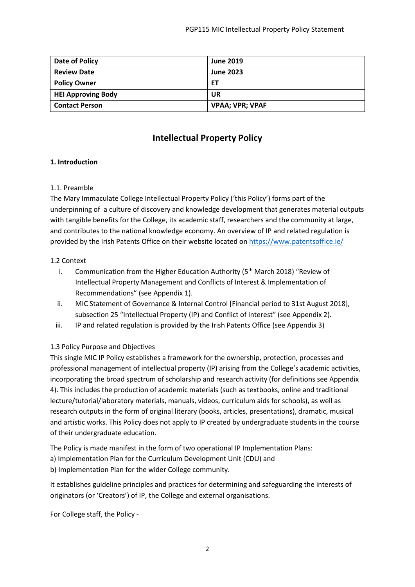| Date of Policy            | <b>June 2019</b>       |
|---------------------------|------------------------|
| <b>Review Date</b>        | <b>June 2023</b>       |
| <b>Policy Owner</b>       | ET                     |
| <b>HEI Approving Body</b> | UR                     |
| <b>Contact Person</b>     | <b>VPAA; VPR; VPAF</b> |

# **Intellectual Property Policy**

### **1. Introduction**

### 1.1. Preamble

The Mary Immaculate College Intellectual Property Policy ('this Policy') forms part of the underpinning of a culture of discovery and knowledge development that generates material outputs with tangible benefits for the College, its academic staff, researchers and the community at large, and contributes to the national knowledge economy. An overview of IP and related regulation is provided by the Irish Patents Office on their website located o[n https://www.patentsoffice.ie/](https://www.patentsoffice.ie/)

### 1.2 Context

- i. Communication from the Higher Education Authority ( $5<sup>th</sup>$  March 2018) "Review of Intellectual Property Management and Conflicts of Interest & Implementation of Recommendations" (see Appendix 1).
- ii. MIC Statement of Governance & Internal Control [Financial period to 31st August 2018], subsection 25 "Intellectual Property (IP) and Conflict of Interest" (see Appendix 2).
- iii. IP and related regulation is provided by the Irish Patents Office (see Appendix 3)

## 1.3 Policy Purpose and Objectives

This single MIC IP Policy establishes a framework for the ownership, protection, processes and professional management of intellectual property (IP) arising from the College's academic activities, incorporating the broad spectrum of scholarship and research activity (for definitions see Appendix 4). This includes the production of academic materials (such as textbooks, online and traditional lecture/tutorial/laboratory materials, manuals, videos, curriculum aids for schools), as well as research outputs in the form of original literary (books, articles, presentations), dramatic, musical and artistic works. This Policy does not apply to IP created by undergraduate students in the course of their undergraduate education.

The Policy is made manifest in the form of two operational IP Implementation Plans:

- a) Implementation Plan for the Curriculum Development Unit (CDU) and
- b) Implementation Plan for the wider College community.

It establishes guideline principles and practices for determining and safeguarding the interests of originators (or 'Creators') of IP, the College and external organisations.

For College staff, the Policy -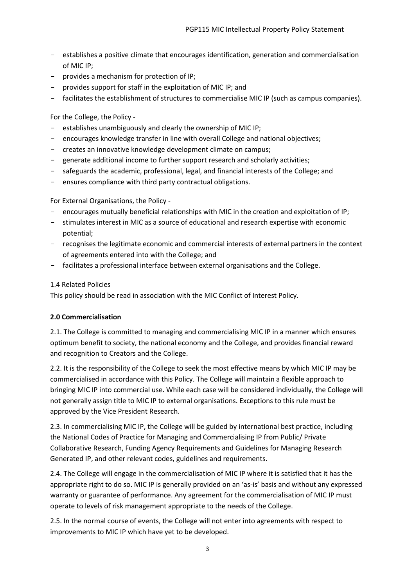- establishes a positive climate that encourages identification, generation and commercialisation of MIC IP;
- provides a mechanism for protection of IP;
- provides support for staff in the exploitation of MIC IP; and
- facilitates the establishment of structures to commercialise MIC IP (such as campus companies).

For the College, the Policy -

- establishes unambiguously and clearly the ownership of MIC IP;
- encourages knowledge transfer in line with overall College and national objectives;
- creates an innovative knowledge development climate on campus;
- generate additional income to further support research and scholarly activities;
- safeguards the academic, professional, legal, and financial interests of the College; and
- ensures compliance with third party contractual obligations.

For External Organisations, the Policy -

- encourages mutually beneficial relationships with MIC in the creation and exploitation of IP;
- stimulates interest in MIC as a source of educational and research expertise with economic potential;
- recognises the legitimate economic and commercial interests of external partners in the context of agreements entered into with the College; and
- facilitates a professional interface between external organisations and the College.

## 1.4 Related Policies

This policy should be read in association with the MIC Conflict of Interest Policy.

## **2.0 Commercialisation**

2.1. The College is committed to managing and commercialising MIC IP in a manner which ensures optimum benefit to society, the national economy and the College, and provides financial reward and recognition to Creators and the College.

2.2. It is the responsibility of the College to seek the most effective means by which MIC IP may be commercialised in accordance with this Policy. The College will maintain a flexible approach to bringing MIC IP into commercial use. While each case will be considered individually, the College will not generally assign title to MIC IP to external organisations. Exceptions to this rule must be approved by the Vice President Research.

2.3. In commercialising MIC IP, the College will be guided by international best practice, including the National Codes of Practice for Managing and Commercialising IP from Public/ Private Collaborative Research, Funding Agency Requirements and Guidelines for Managing Research Generated IP, and other relevant codes, guidelines and requirements.

2.4. The College will engage in the commercialisation of MIC IP where it is satisfied that it has the appropriate right to do so. MIC IP is generally provided on an 'as-is' basis and without any expressed warranty or guarantee of performance. Any agreement for the commercialisation of MIC IP must operate to levels of risk management appropriate to the needs of the College.

2.5. In the normal course of events, the College will not enter into agreements with respect to improvements to MIC IP which have yet to be developed.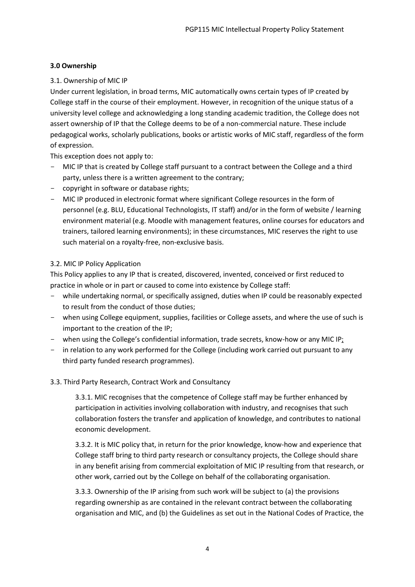## **3.0 Ownership**

## 3.1. Ownership of MIC IP

Under current legislation, in broad terms, MIC automatically owns certain types of IP created by College staff in the course of their employment. However, in recognition of the unique status of a university level college and acknowledging a long standing academic tradition, the College does not assert ownership of IP that the College deems to be of a non-commercial nature. These include pedagogical works, scholarly publications, books or artistic works of MIC staff, regardless of the form of expression.

This exception does not apply to:

- MIC IP that is created by College staff pursuant to a contract between the College and a third party, unless there is a written agreement to the contrary;
- copyright in software or database rights;
- MIC IP produced in electronic format where significant College resources in the form of personnel (e.g. BLU, Educational Technologists, IT staff) and/or in the form of website / learning environment material (e.g. Moodle with management features, online courses for educators and trainers, tailored learning environments); in these circumstances, MIC reserves the right to use such material on a royalty-free, non-exclusive basis.

## 3.2. MIC IP Policy Application

This Policy applies to any IP that is created, discovered, invented, conceived or first reduced to practice in whole or in part or caused to come into existence by College staff:

- while undertaking normal, or specifically assigned, duties when IP could be reasonably expected to result from the conduct of those duties;
- when using College equipment, supplies, facilities or College assets, and where the use of such is important to the creation of the IP;
- when using the College's confidential information, trade secrets, know-how or any MIC IP;
- in relation to any work performed for the College (including work carried out pursuant to any third party funded research programmes).
- 3.3. Third Party Research, Contract Work and Consultancy

3.3.1. MIC recognises that the competence of College staff may be further enhanced by participation in activities involving collaboration with industry, and recognises that such collaboration fosters the transfer and application of knowledge, and contributes to national economic development.

3.3.2. It is MIC policy that, in return for the prior knowledge, know-how and experience that College staff bring to third party research or consultancy projects, the College should share in any benefit arising from commercial exploitation of MIC IP resulting from that research, or other work, carried out by the College on behalf of the collaborating organisation.

3.3.3. Ownership of the IP arising from such work will be subject to (a) the provisions regarding ownership as are contained in the relevant contract between the collaborating organisation and MIC, and (b) the Guidelines as set out in the National Codes of Practice, the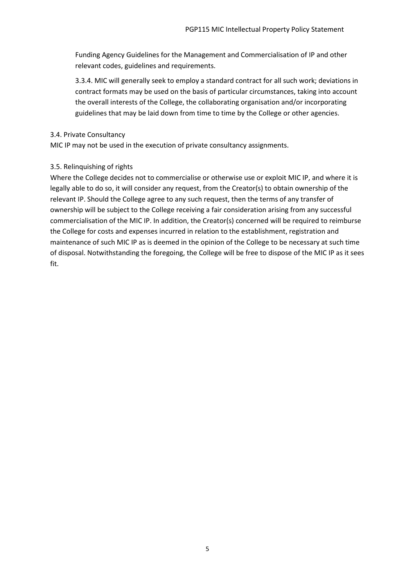Funding Agency Guidelines for the Management and Commercialisation of IP and other relevant codes, guidelines and requirements.

3.3.4. MIC will generally seek to employ a standard contract for all such work; deviations in contract formats may be used on the basis of particular circumstances, taking into account the overall interests of the College, the collaborating organisation and/or incorporating guidelines that may be laid down from time to time by the College or other agencies.

#### 3.4. Private Consultancy

MIC IP may not be used in the execution of private consultancy assignments.

### 3.5. Relinquishing of rights

Where the College decides not to commercialise or otherwise use or exploit MIC IP, and where it is legally able to do so, it will consider any request, from the Creator(s) to obtain ownership of the relevant IP. Should the College agree to any such request, then the terms of any transfer of ownership will be subject to the College receiving a fair consideration arising from any successful commercialisation of the MIC IP. In addition, the Creator(s) concerned will be required to reimburse the College for costs and expenses incurred in relation to the establishment, registration and maintenance of such MIC IP as is deemed in the opinion of the College to be necessary at such time of disposal. Notwithstanding the foregoing, the College will be free to dispose of the MIC IP as it sees fit.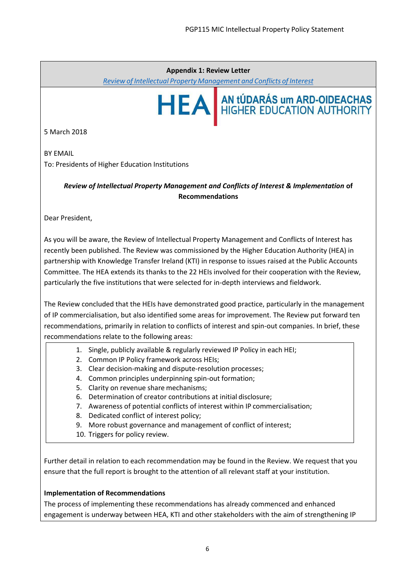#### **Appendix 1: Review Letter**

*Review of Intellectual Property [Management](http://hea.ie/assets/uploads/2018/02/KTI_HEA-IP-management-and-CoI-report-Feb-18.pdf) and Conflicts of Interest*



5 March 2018

BY EMAIL To: Presidents of Higher Education Institutions

> *Review of Intellectual Property Management and Conflicts of Interest & Implementation* **of Recommendations**

Dear President,

As you will be aware, the Review of Intellectual Property Management and Conflicts of Interest has recently been published. The Review was commissioned by the Higher Education Authority (HEA) in partnership with Knowledge Transfer Ireland (KTI) in response to issues raised at the Public Accounts Committee. The HEA extends its thanks to the 22 HEIs involved for their cooperation with the Review, particularly the five institutions that were selected for in-depth interviews and fieldwork.

The Review concluded that the HEIs have demonstrated good practice, particularly in the management of IP commercialisation, but also identified some areas for improvement. The Review put forward ten recommendations, primarily in relation to conflicts of interest and spin-out companies. In brief, these recommendations relate to the following areas:

- 1. Single, publicly available & regularly reviewed IP Policy in each HEI;
- 2. Common IP Policy framework across HEIs;
- 3. Clear decision-making and dispute-resolution processes;
- 4. Common principles underpinning spin-out formation;
- 5. Clarity on revenue share mechanisms;
- 6. Determination of creator contributions at initial disclosure;
- 7. Awareness of potential conflicts of interest within IP commercialisation;
- 8. Dedicated conflict of interest policy;
- 9. More robust governance and management of conflict of interest;
- 10. Triggers for policy review.

Further detail in relation to each recommendation may be found in the Review. We request that you ensure that the full report is brought to the attention of all relevant staff at your institution.

#### **Implementation of Recommendations**

The process of implementing these recommendations has already commenced and enhanced engagement is underway between HEA, KTI and other stakeholders with the aim of strengthening IP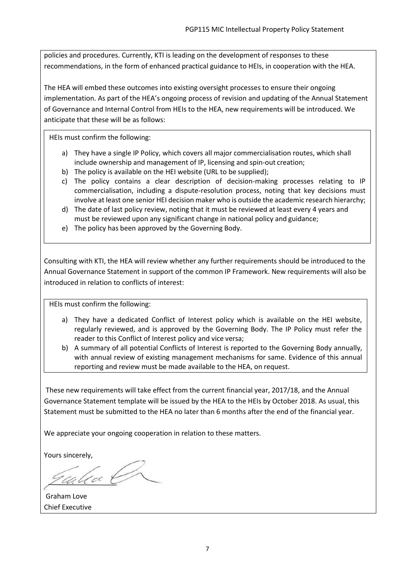policies and procedures. Currently, KTI is leading on the development of responses to these recommendations, in the form of enhanced practical guidance to HEIs, in cooperation with the HEA.

The HEA will embed these outcomes into existing oversight processes to ensure their ongoing implementation. As part of the HEA's ongoing process of revision and updating of the Annual Statement of Governance and Internal Control from HEIs to the HEA, new requirements will be introduced. We anticipate that these will be as follows:

HEIs must confirm the following:

- a) They have a single IP Policy, which covers all major commercialisation routes, which shall include ownership and management of IP, licensing and spin-out creation;
- b) The policy is available on the HEI website (URL to be supplied);
- c) The policy contains a clear description of decision-making processes relating to IP commercialisation, including a dispute-resolution process, noting that key decisions must involve at least one senior HEI decision maker who is outside the academic research hierarchy;
- d) The date of last policy review, noting that it must be reviewed at least every 4 years and must be reviewed upon any significant change in national policy and guidance;
- e) The policy has been approved by the Governing Body.

Consulting with KTI, the HEA will review whether any further requirements should be introduced to the Annual Governance Statement in support of the common IP Framework. New requirements will also be introduced in relation to conflicts of interest:

HEIs must confirm the following:

- a) They have a dedicated Conflict of Interest policy which is available on the HEI website, regularly reviewed, and is approved by the Governing Body. The IP Policy must refer the reader to this Conflict of Interest policy and vice versa;
- b) A summary of all potential Conflicts of Interest is reported to the Governing Body annually, with annual review of existing management mechanisms for same. Evidence of this annual reporting and review must be made available to the HEA, on request.

These new requirements will take effect from the current financial year, 2017/18, and the Annual Governance Statement template will be issued by the HEA to the HEIs by October 2018. As usual, this Statement must be submitted to the HEA no later than 6 months after the end of the financial year.

We appreciate your ongoing cooperation in relation to these matters.

Yours sincerely,

calca O

Graham Love Chief Executive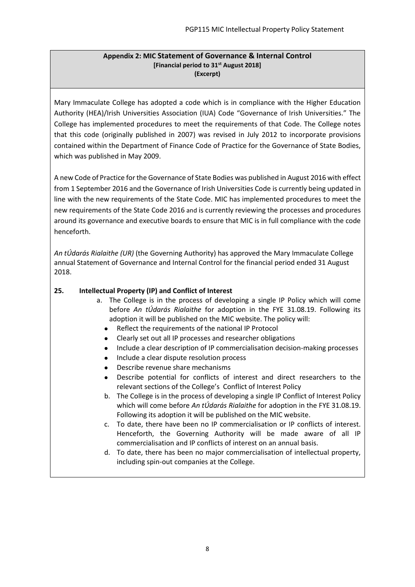#### **Appendix 2: MIC Statement of Governance & Internal Control [Financial period to 31st August 2018] (Excerpt)**

Mary Immaculate College has adopted a code which is in compliance with the Higher Education Authority (HEA)/Irish Universities Association (IUA) Code "Governance of Irish Universities." The College has implemented procedures to meet the requirements of that Code. The College notes that this code (originally published in 2007) was revised in July 2012 to incorporate provisions contained within the Department of Finance Code of Practice for the Governance of State Bodies, which was published in May 2009.

A new Code of Practice for the Governance of State Bodies was published in August 2016 with effect from 1 September 2016 and the Governance of Irish Universities Code is currently being updated in line with the new requirements of the State Code. MIC has implemented procedures to meet the new requirements of the State Code 2016 and is currently reviewing the processes and procedures around its governance and executive boards to ensure that MIC is in full compliance with the code henceforth.

*An tÚdarás Rialaithe (UR)* (the Governing Authority) has approved the Mary Immaculate College annual Statement of Governance and Internal Control for the financial period ended 31 August 2018.

## **25. Intellectual Property (IP) and Conflict of Interest**

- a. The College is in the process of developing a single IP Policy which will come before *An tÚdarás Rialaithe* for adoption in the FYE 31.08.19. Following its adoption it will be published on the MIC website. The policy will:
	- Reflect the requirements of the national IP Protocol
	- Clearly set out all IP processes and researcher obligations
	- Include a clear description of IP commercialisation decision-making processes
	- Include a clear dispute resolution process
	- Describe revenue share mechanisms
	- Describe potential for conflicts of interest and direct researchers to the relevant sections of the College's Conflict of Interest Policy
	- b. The College is in the process of developing a single IP Conflict of Interest Policy which will come before *An tÚdarás Rialaithe* for adoption in the FYE 31.08.19. Following its adoption it will be published on the MIC website.
	- c. To date, there have been no IP commercialisation or IP conflicts of interest. Henceforth, the Governing Authority will be made aware of all IP commercialisation and IP conflicts of interest on an annual basis.
	- d. To date, there has been no major commercialisation of intellectual property, including spin-out companies at the College.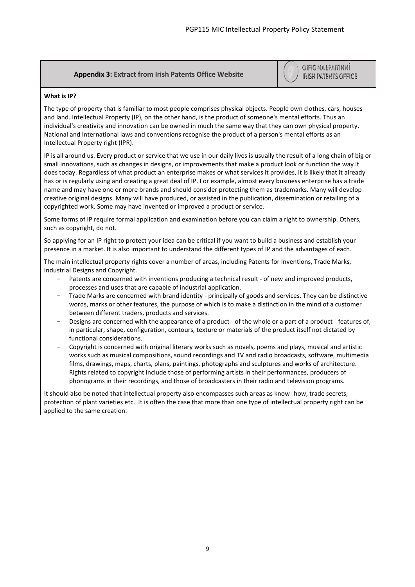## **Appendix 3: Extract from Irish Patents Office Website**

OIFIG NA LPAITINNÍ **IRISH PATENTS OFFICE** 

#### **What is IP?**

The type of property that is familiar to most people comprises physical objects. People own clothes, cars, houses and land. Intellectual Property (IP), on the other hand, is the product of someone's mental efforts. Thus an individual's creativity and innovation can be owned in much the same way that they can own physical property. National and International laws and conventions recognise the product of a person's mental efforts as an Intellectual Property right (IPR).

IP is all around us. Every product or service that we use in o[ur daily lives is usually the result of a long chain of big or](https://www.patentsoffice.ie/)  small innovations, such as changes in designs, or improvements that make a product look or function the way it does today. Regardless of what product an enterprise makes or what services it provides, it is likely that it already has or is regularly using and creating a great deal of IP. For example, almost every business enterprise has a trade name and may have one or more brands and should consider protecting them as trademarks. Many will develop creative original designs. Many will have produced, or assisted in the publication, dissemination or retailing of a copyrighted work. Some may have invented or improved a product or service.

Some forms of IP require formal application and examination before you can claim a right to ownership. Others, such as copyright, do not.

So applying for an IP right to protect your idea can be critical if you want to build a business and establish your presence in a market. It is also important to understand the different types of IP and the advantages of each.

The main intellectual property rights cover a number of areas, including Patents for Inventions, Trade Marks, Industrial Designs and Copyright.

- Patents are concerned with inventions producing a technical result of new and improved products, processes and uses that are capable of industrial application.
- Trade Marks are concerned with brand identity principally of goods and services. They can be distinctive words, marks or other features, the purpose of which is to make a distinction in the mind of a customer between different traders, products and services.
- Designs are concerned with the appearance of a product of the whole or a part of a product features of, in particular, shape, configuration, contours, texture or materials of the product itself not dictated by functional considerations.
- Copyright is concerned with original literary works such as novels, poems and plays, musical and artistic works such as musical compositions, sound recordings and TV and radio broadcasts, software, multimedia films, drawings, maps, charts, plans, paintings, photographs and sculptures and works of architecture. Rights related to copyright include those of performing artists in their performances, producers of phonograms in their recordings, and those of broadcasters in their radio and television programs.

It should also be noted that intellectual property also encompasses such areas as know- how, trade secrets, protection of plant varieties etc. It is often the case that more than one type of intellectual property right can be applied to the same creation.